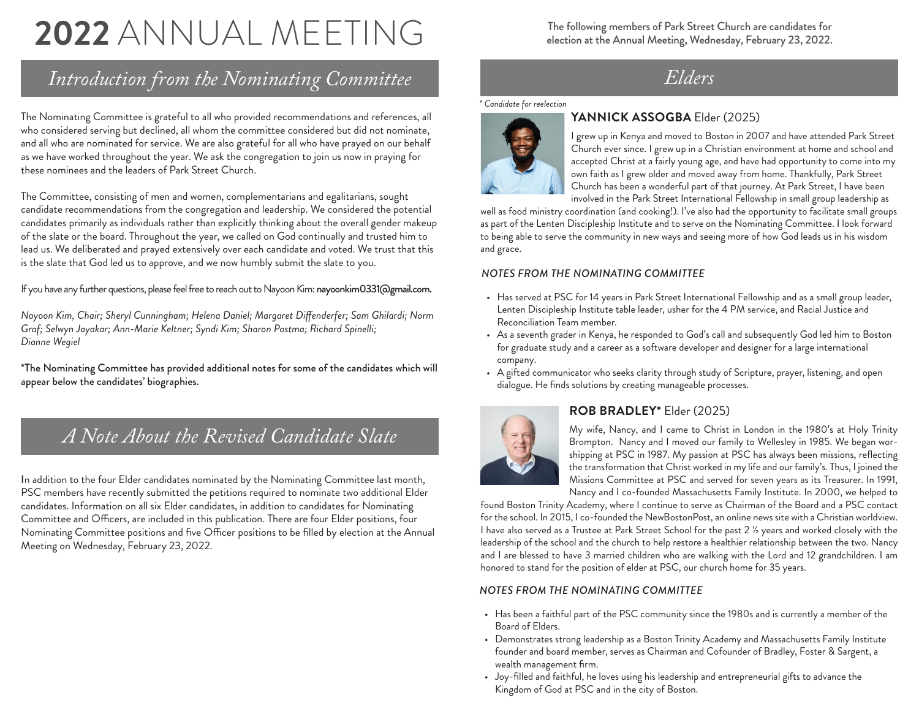# **2022** ANNUAL MEETING

# *Introduction from the Nominating Committee*

The Nominating Committee is grateful to all who provided recommendations and references, all who considered serving but declined, all whom the committee considered but did not nominate, and all who are nominated for service. We are also grateful for all who have prayed on our behalf as we have worked throughout the year. We ask the congregation to join us now in praying for these nominees and the leaders of Park Street Church.

The Committee, consisting of men and women, complementarians and egalitarians, sought candidate recommendations from the congregation and leadership. We considered the potential candidates primarily as individuals rather than explicitly thinking about the overall gender makeup of the slate or the board. Throughout the year, we called on God continually and trusted him to lead us. We deliberated and prayed extensively over each candidate and voted. We trust that this is the slate that God led us to approve, and we now humbly submit the slate to you.

If you have any further questions, please feel free to reach out to Nayoon Kim: nayoonkim0331@gmail.com.

*Nayoon Kim, Chair; Sheryl Cunningham; Helena Daniel; Margaret Diffenderfer; Sam Ghilardi; Norm Graf; Selwyn Jayakar; Ann-Marie Keltner; Syndi Kim; Sharon Postma; Richard Spinelli; Dianne Wegiel*

\*The Nominating Committee has provided additional notes for some of the candidates which will appear below the candidates' biographies.

# *A Note About the Revised Candidate Slate*

In addition to the four Elder candidates nominated by the Nominating Committee last month, PSC members have recently submitted the petitions required to nominate two additional Elder candidates. Information on all six Elder candidates, in addition to candidates for Nominating Committee and Officers, are included in this publication. There are four Elder positions, four Nominating Committee positions and five Officer positions to be filled by election at the Annual Meeting on Wednesday, February 23, 2022.

The following members of Park Street Church are candidates for election at the Annual Meeting, Wednesday, February 23, 2022.

# *Elders*

#### *\* Candidate for reelection*



# **YANNICK ASSOGBA** Elder (2025)

I grew up in Kenya and moved to Boston in 2007 and have attended Park Street Church ever since. I grew up in a Christian environment at home and school and accepted Christ at a fairly young age, and have had opportunity to come into my own faith as I grew older and moved away from home. Thankfully, Park Street Church has been a wonderful part of that journey. At Park Street, I have been involved in the Park Street International Fellowship in small group leadership as

well as food ministry coordination (and cooking!). I've also had the opportunity to facilitate small groups as part of the Lenten Discipleship Institute and to serve on the Nominating Committee. I look forward to being able to serve the community in new ways and seeing more of how God leads us in his wisdom and grace.

#### *NOTES FROM THE NOMINATING COMMITTEE*

- Has served at PSC for 14 years in Park Street International Fellowship and as a small group leader, Lenten Discipleship Institute table leader, usher for the 4 PM service, and Racial Justice and Reconciliation Team member.
- As a seventh grader in Kenya, he responded to God's call and subsequently God led him to Boston for graduate study and a career as a software developer and designer for a large international company.
- A gifted communicator who seeks clarity through study of Scripture, prayer, listening, and open dialogue. He finds solutions by creating manageable processes.



# **ROB BRADLEY\*** Elder (2025)

My wife, Nancy, and I came to Christ in London in the 1980's at Holy Trinity Brompton. Nancy and I moved our family to Wellesley in 1985. We began worshipping at PSC in 1987. My passion at PSC has always been missions, reflecting the transformation that Christ worked in my life and our family's. Thus, I joined the Missions Committee at PSC and served for seven years as its Treasurer. In 1991, Nancy and I co-founded Massachusetts Family Institute. In 2000, we helped to

found Boston Trinity Academy, where I continue to serve as Chairman of the Board and a PSC contact for the school. In 2015, I co-founded the NewBostonPost, an online news site with a Christian worldview. I have also served as a Trustee at Park Street School for the past 2 ½ years and worked closely with the leadership of the school and the church to help restore a healthier relationship between the two. Nancy and I are blessed to have 3 married children who are walking with the Lord and 12 grandchildren. I am honored to stand for the position of elder at PSC, our church home for 35 years.

# *NOTES FROM THE NOMINATING COMMITTEE*

- Has been a faithful part of the PSC community since the 1980s and is currently a member of the Board of Elders.
- Demonstrates strong leadership as a Boston Trinity Academy and Massachusetts Family Institute founder and board member, serves as Chairman and Cofounder of Bradley, Foster & Sargent, a wealth management firm.
- Joy-filled and faithful, he loves using his leadership and entrepreneurial gifts to advance the Kingdom of God at PSC and in the city of Boston.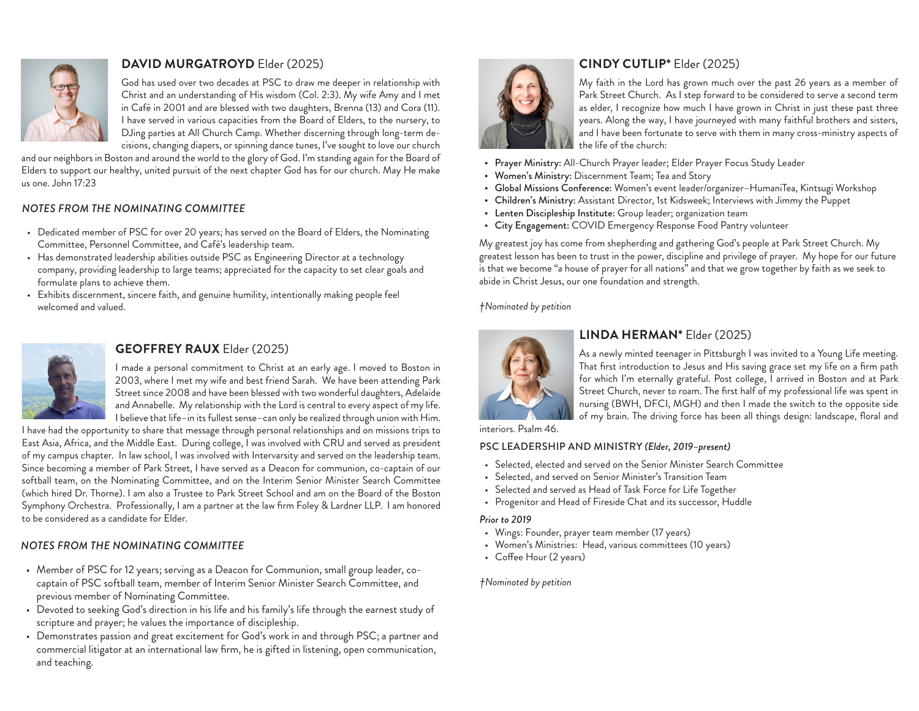

# **DAVID MURGATROYD** Elder (2025)

God has used over two decades at PSC to draw me deeper in relationship with Christ and an understanding of His wisdom (Col. 2:3). My wife Amy and I met in Café in 2001 and are blessed with two daughters, Brenna (13) and Cora (11). I have served in various capacities from the Board of Elders, to the nursery, to DJing parties at All Church Camp. Whether discerning through long-term decisions, changing diapers, or spinning dance tunes, I've sought to love our church

and our neighbors in Boston and around the world to the glory of God. I'm standing again for the Board of Elders to support our healthy, united pursuit of the next chapter God has for our church. May He make us one. John 17:23

#### *NOTES FROM THE NOMINATING COMMITTEE*

- Dedicated member of PSC for over 20 years; has served on the Board of Elders, the Nominating Committee, Personnel Committee, and Café's leadership team.
- Has demonstrated leadership abilities outside PSC as Engineering Director at a technology company, providing leadership to large teams; appreciated for the capacity to set clear goals and formulate plans to achieve them.
- Exhibits discernment, sincere faith, and genuine humility, intentionally making people feel welcomed and valued.



# **GEOFFREY RAUX** Elder (2025)

I made a personal commitment to Christ at an early age. I moved to Boston in 2003, where I met my wife and best friend Sarah. We have been attending Park Street since 2008 and have been blessed with two wonderful daughters, Adelaide and Annabelle. My relationship with the Lord is central to every aspect of my life. I believe that life–in its fullest sense–can only be realized through union with Him.

I have had the opportunity to share that message through personal relationships and on missions trips to East Asia, Africa, and the Middle East. During college, I was involved with CRU and served as president of my campus chapter. In law school, I was involved with Intervarsity and served on the leadership team. Since becoming a member of Park Street, I have served as a Deacon for communion, co-captain of our softball team, on the Nominating Committee, and on the Interim Senior Minister Search Committee (which hired Dr. Thorne). I am also a Trustee to Park Street School and am on the Board of the Boston Symphony Orchestra. Professionally, I am a partner at the law firm Foley & Lardner LLP. I am honored to be considered as a candidate for Elder.

# *NOTES FROM THE NOMINATING COMMITTEE*

- Member of PSC for 12 years; serving as a Deacon for Communion, small group leader, cocaptain of PSC softball team, member of Interim Senior Minister Search Committee, and previous member of Nominating Committee.
- Devoted to seeking God's direction in his life and his family's life through the earnest study of scripture and prayer; he values the importance of discipleship.
- Demonstrates passion and great excitement for God's work in and through PSC; a partner and commercial litigator at an international law firm, he is gifted in listening, open communication, and teaching.



# **CINDY CUTLIP\*** Elder (2025)

My faith in the Lord has grown much over the past 26 years as a member of Park Street Church. As I step forward to be considered to serve a second term as elder, I recognize how much I have grown in Christ in just these past three years. Along the way, I have journeyed with many faithful brothers and sisters, and I have been fortunate to serve with them in many cross-ministry aspects of the life of the church:

- Prayer Ministry: All-Church Prayer leader; Elder Prayer Focus Study Leader
- Women's Ministry: Discernment Team; Tea and Story
- Global Missions Conference: Women's event leader/organizer–HumaniTea, Kintsugi Workshop
- Children's Ministry: Assistant Director, 1st Kidsweek; Interviews with Jimmy the Puppet
- Lenten Discipleship Institute: Group leader; organization team
- City Engagement: COVID Emergency Response Food Pantry volunteer

My greatest joy has come from shepherding and gathering God's people at Park Street Church. My greatest lesson has been to trust in the power, discipline and privilege of prayer. My hope for our future is that we become "a house of prayer for all nations" and that we grow together by faith as we seek to abide in Christ Jesus, our one foundation and strength.

*†Nominated by petition*



# **LINDA HERMAN\*** Elder (2025)

As a newly minted teenager in Pittsburgh I was invited to a Young Life meeting. That first introduction to Jesus and His saving grace set my life on a firm path for which I'm eternally grateful. Post college, I arrived in Boston and at Park Street Church, never to roam. The first half of my professional life was spent in nursing (BWH, DFCI, MGH) and then I made the switch to the opposite side of my brain. The driving force has been all things design: landscape, floral and

interiors. Psalm 46.

#### PSC LEADERSHIP AND MINISTRY *(Elder, 2019–present)*

- Selected, elected and served on the Senior Minister Search Committee
- Selected, and served on Senior Minister's Transition Team
- Selected and served as Head of Task Force for Life Together
- Progenitor and Head of Fireside Chat and its successor, Huddle

#### *Prior to 2019*

- Wings: Founder, prayer team member (17 years)
- Women's Ministries: Head, various committees (10 years)
- Coffee Hour (2 years)

*†Nominated by petition*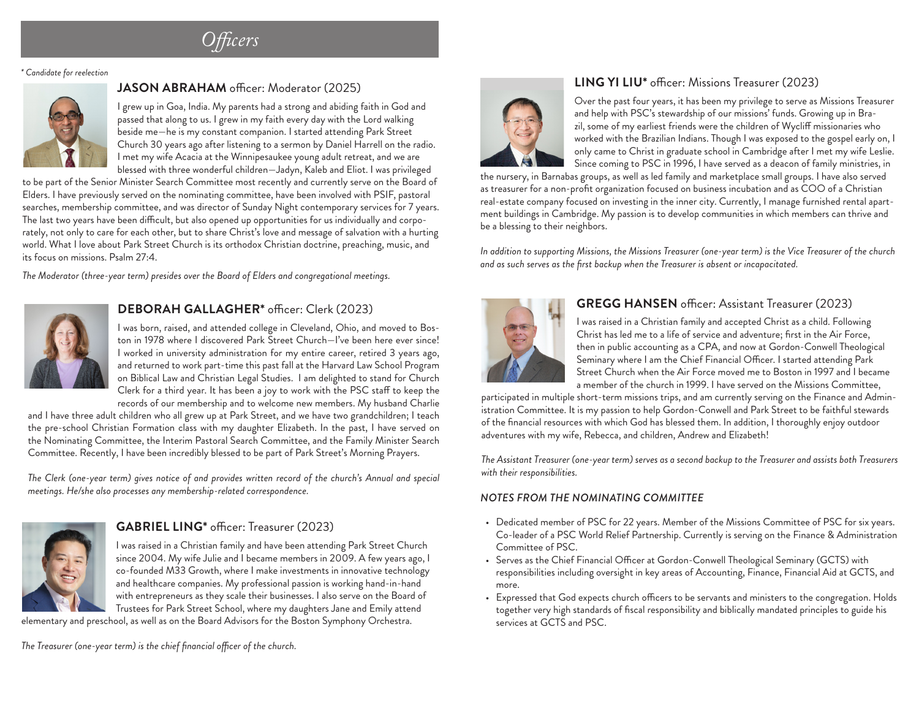*Officers*

*\* Candidate for reelection*



# **JASON ABRAHAM** officer: Moderator (2025)

I grew up in Goa, India. My parents had a strong and abiding faith in God and passed that along to us. I grew in my faith every day with the Lord walking beside me—he is my constant companion. I started attending Park Street Church 30 years ago after listening to a sermon by Daniel Harrell on the radio. I met my wife Acacia at the Winnipesaukee young adult retreat, and we are blessed with three wonderful children—Jadyn, Kaleb and Eliot. I was privileged

to be part of the Senior Minister Search Committee most recently and currently serve on the Board of Elders. I have previously served on the nominating committee, have been involved with PSIF, pastoral searches, membership committee, and was director of Sunday Night contemporary services for 7 years. The last two years have been difficult, but also opened up opportunities for us individually and corporately, not only to care for each other, but to share Christ's love and message of salvation with a hurting world. What I love about Park Street Church is its orthodox Christian doctrine, preaching, music, and its focus on missions. Psalm 27:4.

*The Moderator (three-year term) presides over the Board of Elders and congregational meetings.* 



# **DEBORAH GALLAGHER\*** officer: Clerk (2023)

I was born, raised, and attended college in Cleveland, Ohio, and moved to Boston in 1978 where I discovered Park Street Church—I've been here ever since! I worked in university administration for my entire career, retired 3 years ago, and returned to work part-time this past fall at the Harvard Law School Program on Biblical Law and Christian Legal Studies. I am delighted to stand for Church Clerk for a third year. It has been a joy to work with the PSC staff to keep the records of our membership and to welcome new members. My husband Charlie

and I have three adult children who all grew up at Park Street, and we have two grandchildren; I teach the pre-school Christian Formation class with my daughter Elizabeth. In the past, I have served on the Nominating Committee, the Interim Pastoral Search Committee, and the Family Minister Search Committee. Recently, I have been incredibly blessed to be part of Park Street's Morning Prayers.

*The Clerk (one-year term) gives notice of and provides written record of the church's Annual and special meetings. He/she also processes any membership-related correspondence.*



# **GABRIEL LING\*** officer: Treasurer (2023)

I was raised in a Christian family and have been attending Park Street Church since 2004. My wife Julie and I became members in 2009. A few years ago, I co-founded M33 Growth, where I make investments in innovative technology and healthcare companies. My professional passion is working hand-in-hand with entrepreneurs as they scale their businesses. I also serve on the Board of Trustees for Park Street School, where my daughters Jane and Emily attend

elementary and preschool, as well as on the Board Advisors for the Boston Symphony Orchestra.

*The Treasurer (one-year term) is the chief financial officer of the church.*



# **LING YI LIU\*** officer: Missions Treasurer (2023)

Over the past four years, it has been my privilege to serve as Missions Treasurer and help with PSC's stewardship of our missions' funds. Growing up in Brazil, some of my earliest friends were the children of Wycliff missionaries who worked with the Brazilian Indians. Though I was exposed to the gospel early on, I only came to Christ in graduate school in Cambridge after I met my wife Leslie. Since coming to PSC in 1996, I have served as a deacon of family ministries, in

the nursery, in Barnabas groups, as well as led family and marketplace small groups. I have also served as treasurer for a non-profit organization focused on business incubation and as COO of a Christian real-estate company focused on investing in the inner city. Currently, I manage furnished rental apartment buildings in Cambridge. My passion is to develop communities in which members can thrive and be a blessing to their neighbors.

*In addition to supporting Missions, the Missions Treasurer (one-year term) is the Vice Treasurer of the church and as such serves as the first backup when the Treasurer is absent or incapacitated.* 



#### **GREGG HANSEN** officer: Assistant Treasurer (2023)

I was raised in a Christian family and accepted Christ as a child. Following Christ has led me to a life of service and adventure; first in the Air Force, then in public accounting as a CPA, and now at Gordon-Conwell Theological Seminary where I am the Chief Financial Officer. I started attending Park Street Church when the Air Force moved me to Boston in 1997 and I became a member of the church in 1999. I have served on the Missions Committee,

participated in multiple short-term missions trips, and am currently serving on the Finance and Administration Committee. It is my passion to help Gordon-Conwell and Park Street to be faithful stewards of the financial resources with which God has blessed them. In addition, I thoroughly enjoy outdoor adventures with my wife, Rebecca, and children, Andrew and Elizabeth!

*The Assistant Treasurer (one-year term) serves as a second backup to the Treasurer and assists both Treasurers with their responsibilities.*

#### *NOTES FROM THE NOMINATING COMMITTEE*

- Dedicated member of PSC for 22 years. Member of the Missions Committee of PSC for six years. Co-leader of a PSC World Relief Partnership. Currently is serving on the Finance & Administration Committee of PSC.
- Serves as the Chief Financial Officer at Gordon-Conwell Theological Seminary (GCTS) with responsibilities including oversight in key areas of Accounting, Finance, Financial Aid at GCTS, and more.
- Expressed that God expects church officers to be servants and ministers to the congregation. Holds together very high standards of fiscal responsibility and biblically mandated principles to guide his services at GCTS and PSC.